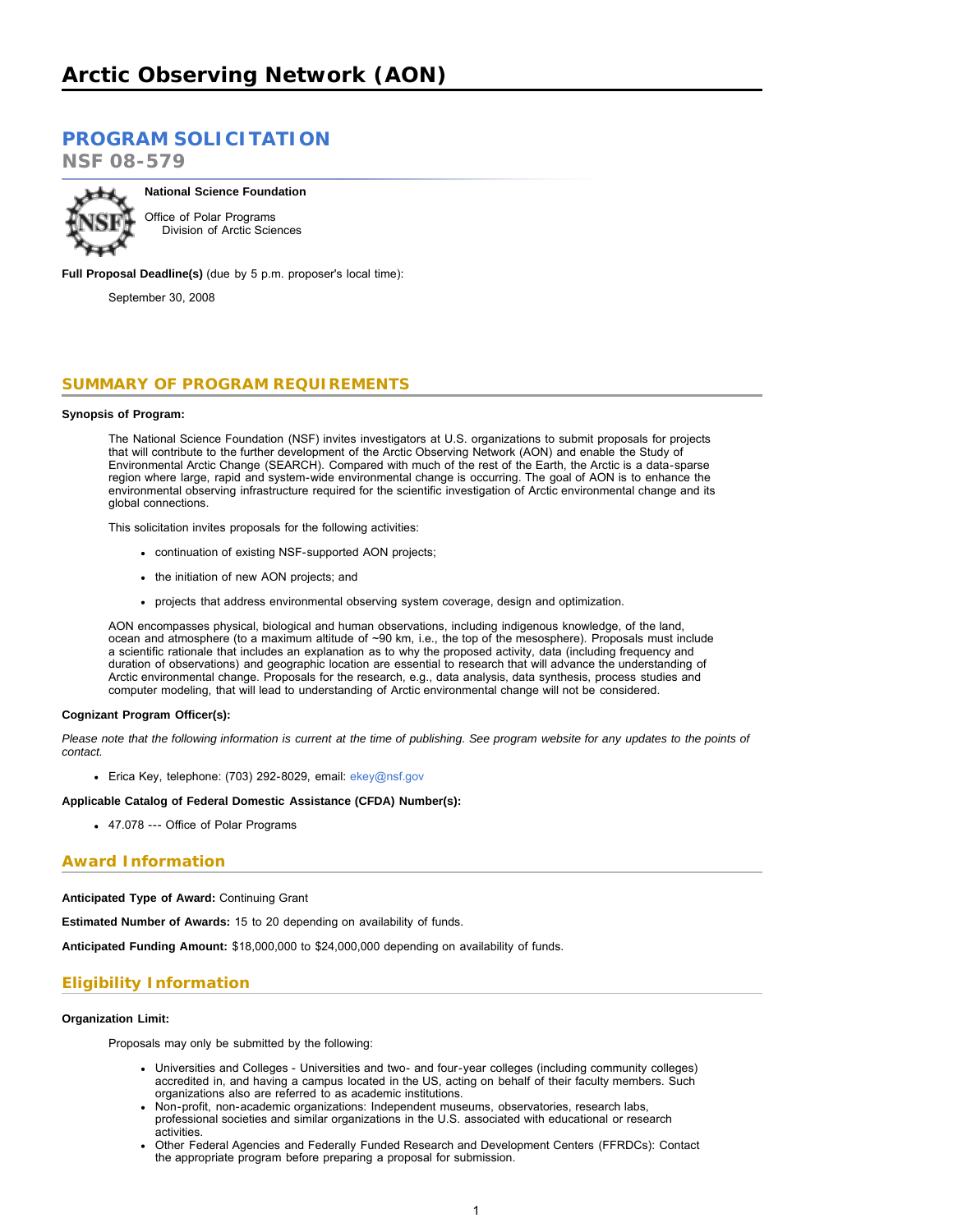# **[PROGRAM SOLICITATION](#page-1-0)**

**NSF 08-579**



**National Science Foundation**

Office of Polar Programs Division of Arctic Sciences

<span id="page-0-0"></span>**Full Proposal Deadline(s)** (due by 5 p.m. proposer's local time):

September 30, 2008

# **SUMMARY OF PROGRAM REQUIREMENTS**

### **Synopsis of Program:**

The National Science Foundation (NSF) invites investigators at U.S. organizations to submit proposals for projects that will contribute to the further development of the Arctic Observing Network (AON) and enable the Study of Environmental Arctic Change (SEARCH). Compared with much of the rest of the Earth, the Arctic is a data-sparse region where large, rapid and system-wide environmental change is occurring. The goal of AON is to enhance the environmental observing infrastructure required for the scientific investigation of Arctic environmental change and its global connections.

This solicitation invites proposals for the following activities:

- continuation of existing NSF-supported AON projects;
- the initiation of new AON projects; and
- projects that address environmental observing system coverage, design and optimization.

AON encompasses physical, biological and human observations, including indigenous knowledge, of the land, ocean and atmosphere (to a maximum altitude of ~90 km, i.e., the top of the mesosphere). Proposals must include a scientific rationale that includes an explanation as to why the proposed activity, data (including frequency and duration of observations) and geographic location are essential to research that will advance the understanding of Arctic environmental change. Proposals for the research, e.g., data analysis, data synthesis, process studies and computer modeling, that will lead to understanding of Arctic environmental change will not be considered.

#### **Cognizant Program Officer(s):**

*Please note that the following information is current at the time of publishing. See program website for any updates to the points of contact.*

Erica Key, telephone: (703) 292-8029, email: [ekey@nsf.gov](mailto:ekey@nsf.gov)

#### **Applicable Catalog of Federal Domestic Assistance (CFDA) Number(s):**

47.078 --- Office of Polar Programs

## **Award Information**

**Anticipated Type of Award:** Continuing Grant

**Estimated Number of Awards:** 15 to 20 depending on availability of funds.

Anticipated Funding Amount: \$18,000,000 to \$24,000,000 depending on availability of funds.

## **Eligibility Information**

## **Organization Limit:**

Proposals may only be submitted by the following:

- Universities and Colleges Universities and two- and four-year colleges (including community colleges) accredited in, and having a campus located in the US, acting on behalf of their faculty members. Such organizations also are referred to as academic institutions.
- Non-profit, non-academic organizations: Independent museums, observatories, research labs, professional societies and similar organizations in the U.S. associated with educational or research activities.
- Other Federal Agencies and Federally Funded Research and Development Centers (FFRDCs): Contact the appropriate program before preparing a proposal for submission.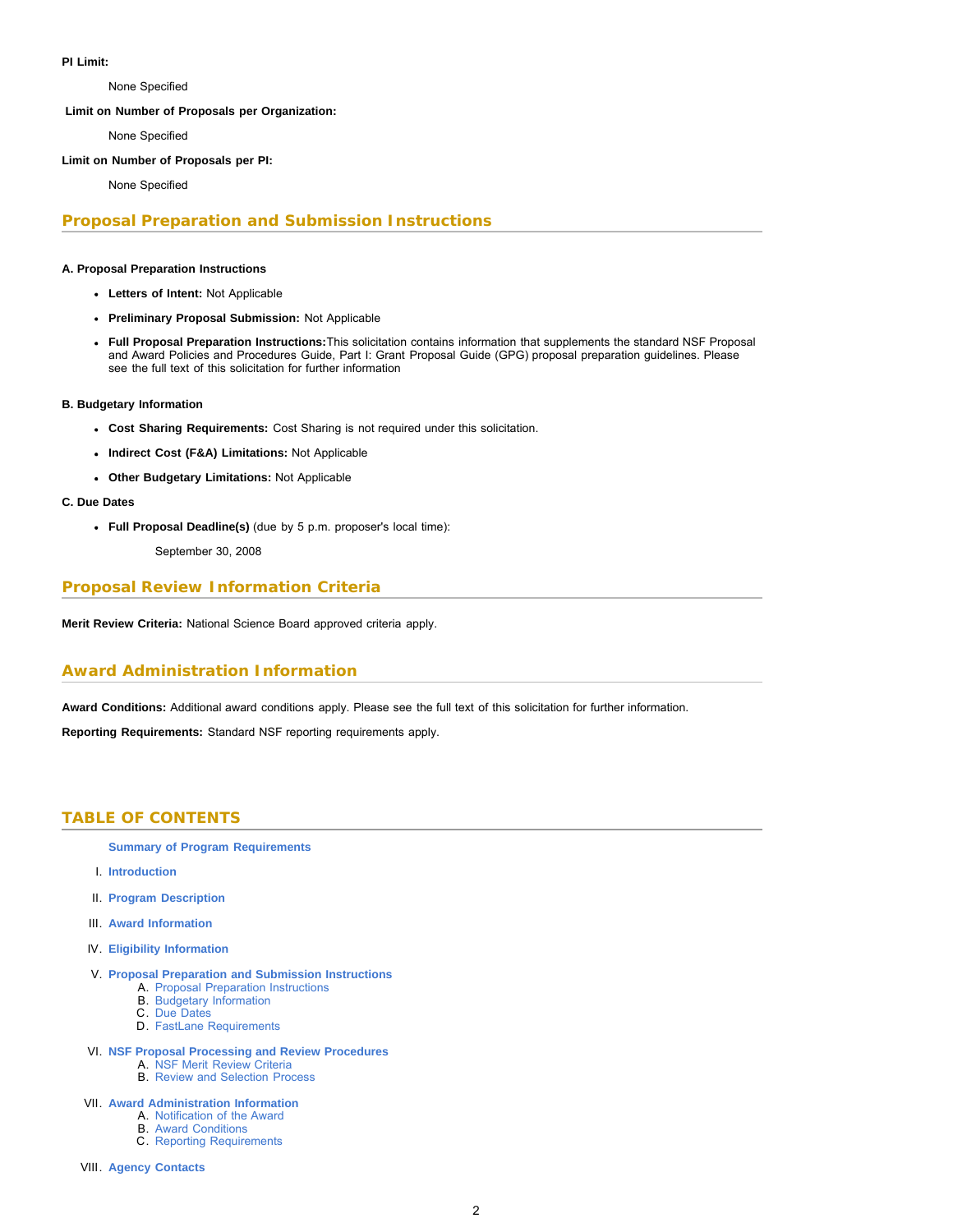## **PI Limit:**

## None Specified

## **Limit on Number of Proposals per Organization:**

None Specified

## **Limit on Number of Proposals per PI:**

None Specified

# **Proposal Preparation and Submission Instructions**

### **A. Proposal Preparation Instructions**

- **Letters of Intent:** Not Applicable
- **Preliminary Proposal Submission:** Not Applicable
- **Full Proposal Preparation Instructions:**This solicitation contains information that supplements the standard NSF Proposal and Award Policies and Procedures Guide, Part I: Grant Proposal Guide (GPG) proposal preparation guidelines. Please see the full text of this solicitation for further information

### **B. Budgetary Information**

- **Cost Sharing Requirements:** Cost Sharing is not required under this solicitation.
- **Indirect Cost (F&A) Limitations:** Not Applicable
- **Other Budgetary Limitations:** Not Applicable

## **C. Due Dates**

- **Full Proposal Deadline(s)** (due by 5 p.m. proposer's local time):
	- September 30, 2008

# **Proposal Review Information Criteria**

**Merit Review Criteria:** National Science Board approved criteria apply.

# **Award Administration Information**

**Award Conditions:** Additional award conditions apply. Please see the full text of this solicitation for further information.

<span id="page-1-0"></span>**Reporting Requirements:** Standard NSF reporting requirements apply.

## **TABLE OF CONTENTS**

- **[Summary of Program Requirements](#page-0-0)**
- I. **[Introduction](#page-2-0)**
- II. **[Program Description](#page-2-1)**
- III. **[Award Information](#page-4-0)**
- IV. **[Eligibility Information](#page-4-1)**
- V. **[Proposal Preparation and Submission Instructions](#page-4-2)**
	- A. [Proposal Preparation Instructions](#page-4-2)
		- B. [Budgetary Information](#page-6-0) C. [Due Dates](#page-6-1)
		- D. [FastLane Requirements](#page-6-2)
- VI. **[NSF Proposal Processing and Review Procedures](#page-7-0)**
	- A. [NSF Merit Review Criteria](#page-7-1)
	- B. [Review and Selection Process](#page-7-2)
- VII. **[Award Administration Information](#page-8-0)**
	- A. [Notification of the Award](#page-8-1)
		- B. [Award Conditions](#page-8-2) C. [Reporting Requirements](#page-9-0)
- VIII. **[Agency Contacts](#page-9-1)**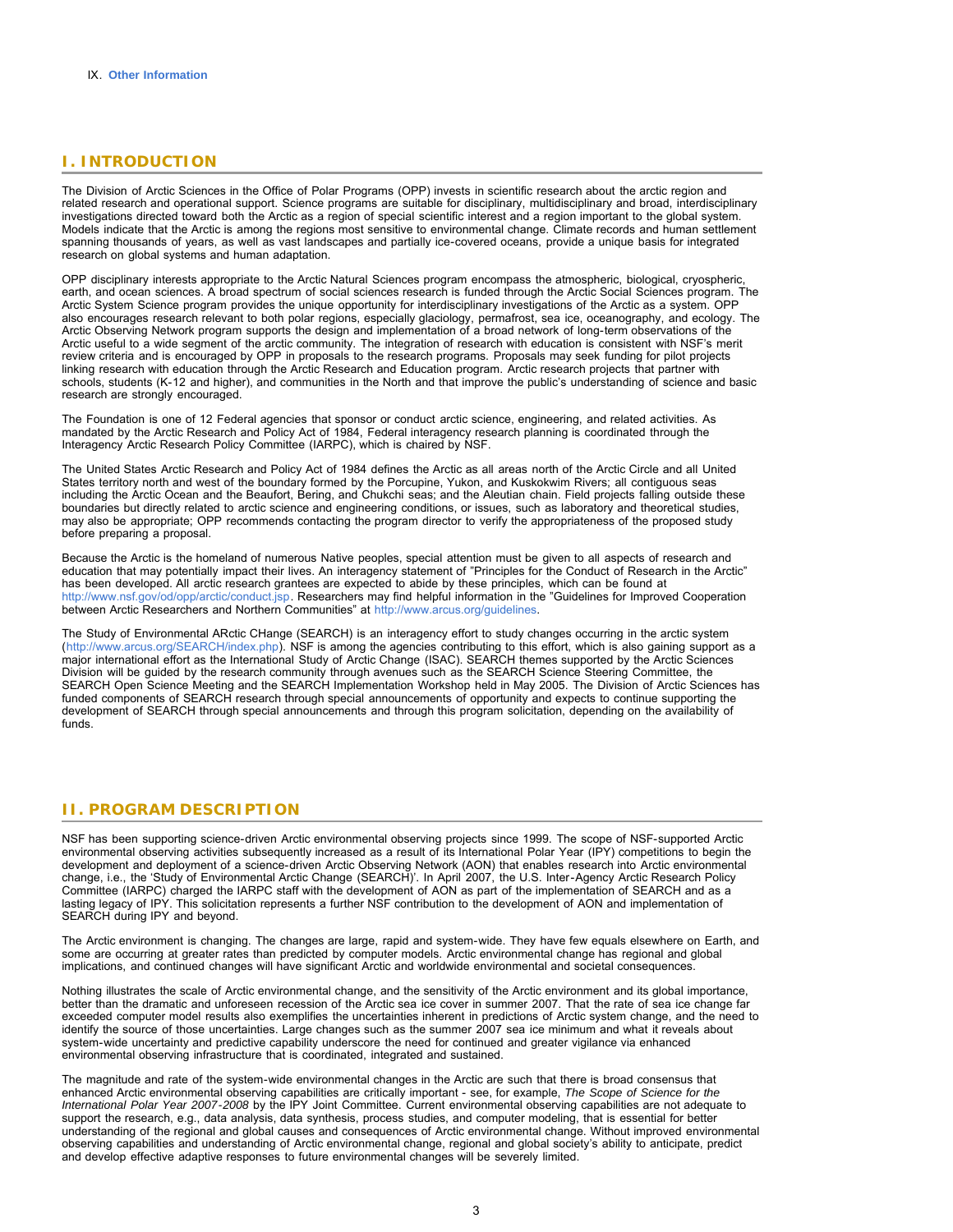# <span id="page-2-0"></span>**I. INTRODUCTION**

The Division of Arctic Sciences in the Office of Polar Programs (OPP) invests in scientific research about the arctic region and related research and operational support. Science programs are suitable for disciplinary, multidisciplinary and broad, interdisciplinary investigations directed toward both the Arctic as a region of special scientific interest and a region important to the global system. Models indicate that the Arctic is among the regions most sensitive to environmental change. Climate records and human settlement spanning thousands of years, as well as vast landscapes and partially ice-covered oceans, provide a unique basis for integrated research on global systems and human adaptation.

OPP disciplinary interests appropriate to the Arctic Natural Sciences program encompass the atmospheric, biological, cryospheric, earth, and ocean sciences. A broad spectrum of social sciences research is funded through the Arctic Social Sciences program. The Arctic System Science program provides the unique opportunity for interdisciplinary investigations of the Arctic as a system. OPP also encourages research relevant to both polar regions, especially glaciology, permafrost, sea ice, oceanography, and ecology. The Arctic Observing Network program supports the design and implementation of a broad network of long-term observations of the Arctic useful to a wide segment of the arctic community. The integration of research with education is consistent with NSF's merit review criteria and is encouraged by OPP in proposals to the research programs. Proposals may seek funding for pilot projects linking research with education through the Arctic Research and Education program. Arctic research projects that partner with schools, students (K-12 and higher), and communities in the North and that improve the public's understanding of science and basic research are strongly encouraged.

The Foundation is one of 12 Federal agencies that sponsor or conduct arctic science, engineering, and related activities. As mandated by the Arctic Research and Policy Act of 1984, Federal interagency research planning is coordinated through the Interagency Arctic Research Policy Committee (IARPC), which is chaired by NSF.

The United States Arctic Research and Policy Act of 1984 defines the Arctic as all areas north of the Arctic Circle and all United States territory north and west of the boundary formed by the Porcupine, Yukon, and Kuskokwim Rivers; all contiguous seas including the Arctic Ocean and the Beaufort, Bering, and Chukchi seas; and the Aleutian chain. Field projects falling outside these boundaries but directly related to arctic science and engineering conditions, or issues, such as laboratory and theoretical studies, may also be appropriate; OPP recommends contacting the program director to verify the appropriateness of the proposed study before preparing a proposal.

Because the Arctic is the homeland of numerous Native peoples, special attention must be given to all aspects of research and education that may potentially impact their lives. An interagency statement of "Principles for the Conduct of Research in the Arctic" has been developed. All arctic research grantees are expected to abide by these principles, which can be found at [http://www.nsf.gov/od/opp/arctic/conduct.jsp.](http://www.nsf.gov/od/opp/arctic/conduct.jsp) Researchers may find helpful information in the "Guidelines for Improved Cooperation between Arctic Researchers and Northern Communities" at [http://www.arcus.org/guidelines](http://www.nsf.gov/cgi-bin/good-bye?http://www.arcus.org/guidelines).

The Study of Environmental ARctic CHange (SEARCH) is an interagency effort to study changes occurring in the arctic system ([http://www.arcus.org/SEARCH/index.php\)](http://www.nsf.gov/cgi-bin/good-bye?http://www.arcus.org/SEARCH/index.php). NSF is among the agencies contributing to this effort, which is also gaining support as a major international effort as the International Study of Arctic Change (ISAC). SEARCH themes supported by the Arctic Sciences Division will be guided by the research community through avenues such as the SEARCH Science Steering Committee, the SEARCH Open Science Meeting and the SEARCH Implementation Workshop held in May 2005. The Division of Arctic Sciences has funded components of SEARCH research through special announcements of opportunity and expects to continue supporting the development of SEARCH through special announcements and through this program solicitation, depending on the availability of funds.

# <span id="page-2-1"></span>**II. PROGRAM DESCRIPTION**

NSF has been supporting science-driven Arctic environmental observing projects since 1999. The scope of NSF-supported Arctic environmental observing activities subsequently increased as a result of its International Polar Year (IPY) competitions to begin the development and deployment of a science-driven Arctic Observing Network (AON) that enables research into Arctic environmental change, i.e., the 'Study of Environmental Arctic Change (SEARCH)'. In April 2007, the U.S. Inter-Agency Arctic Research Policy Committee (IARPC) charged the IARPC staff with the development of AON as part of the implementation of SEARCH and as a lasting legacy of IPY. This solicitation represents a further NSF contribution to the development of AON and implementation of SEARCH during IPY and beyond.

The Arctic environment is changing. The changes are large, rapid and system-wide. They have few equals elsewhere on Earth, and some are occurring at greater rates than predicted by computer models. Arctic environmental change has regional and global implications, and continued changes will have significant Arctic and worldwide environmental and societal consequences.

Nothing illustrates the scale of Arctic environmental change, and the sensitivity of the Arctic environment and its global importance, better than the dramatic and unforeseen recession of the Arctic sea ice cover in summer 2007. That the rate of sea ice change far exceeded computer model results also exemplifies the uncertainties inherent in predictions of Arctic system change, and the need to identify the source of those uncertainties. Large changes such as the summer 2007 sea ice minimum and what it reveals about system-wide uncertainty and predictive capability underscore the need for continued and greater vigilance via enhanced environmental observing infrastructure that is coordinated, integrated and sustained.

The magnitude and rate of the system-wide environmental changes in the Arctic are such that there is broad consensus that enhanced Arctic environmental observing capabilities are critically important - see, for example, *The Scope of Science for the International Polar Year 2007-2008* by the IPY Joint Committee. Current environmental observing capabilities are not adequate to support the research, e.g., data analysis, data synthesis, process studies, and computer modeling, that is essential for better understanding of the regional and global causes and consequences of Arctic environmental change. Without improved environmental observing capabilities and understanding of Arctic environmental change, regional and global society's ability to anticipate, predict and develop effective adaptive responses to future environmental changes will be severely limited.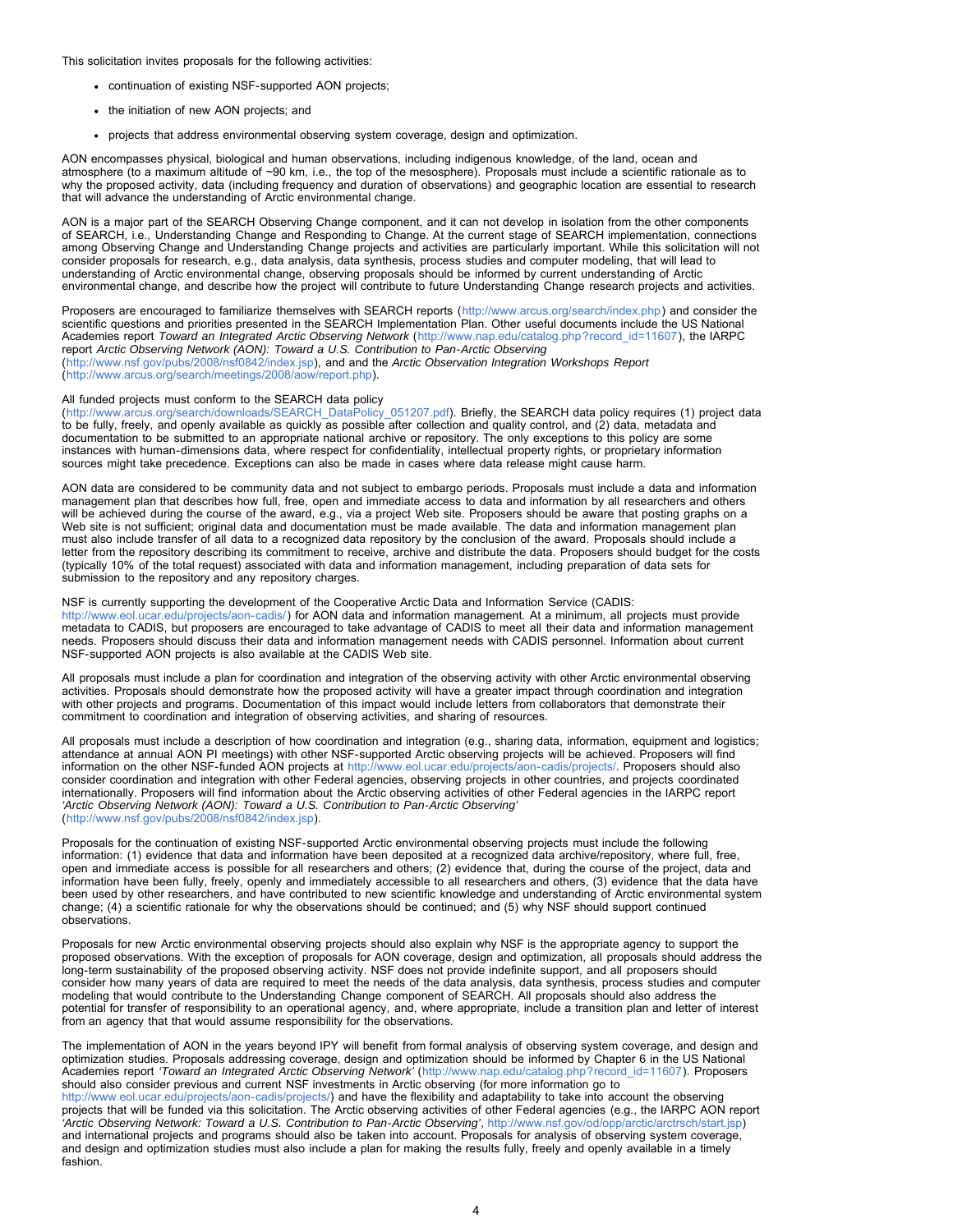This solicitation invites proposals for the following activities:

- continuation of existing NSF-supported AON projects;
- the initiation of new AON projects; and
- projects that address environmental observing system coverage, design and optimization.

AON encompasses physical, biological and human observations, including indigenous knowledge, of the land, ocean and atmosphere (to a maximum altitude of ~90 km, i.e., the top of the mesosphere). Proposals must include a scientific rationale as to why the proposed activity, data (including frequency and duration of observations) and geographic location are essential to research that will advance the understanding of Arctic environmental change.

AON is a major part of the SEARCH Observing Change component, and it can not develop in isolation from the other components of SEARCH, i.e., Understanding Change and Responding to Change. At the current stage of SEARCH implementation, connections among Observing Change and Understanding Change projects and activities are particularly important. While this solicitation will not consider proposals for research, e.g., data analysis, data synthesis, process studies and computer modeling, that will lead to understanding of Arctic environmental change, observing proposals should be informed by current understanding of Arctic environmental change, and describe how the project will contribute to future Understanding Change research projects and activities.

Proposers are encouraged to familiarize themselves with SEARCH reports ([http://www.arcus.org/search/index.php](http://www.nsf.gov/cgi-bin/good-bye?http://www.arcus.org/search/index.php)) and consider the scientific questions and priorities presented in the SEARCH Implementation Plan. Other useful documents include the US National Academies report *Toward an Integrated Arctic Observing Network* ([http://www.nap.edu/catalog.php?record\\_id=11607\)](http://www.nsf.gov/cgi-bin/good-bye?http://www.nap.edu/catalog.php?record_id=11607), the IARPC report *Arctic Observing Network (AON): Toward a U.S. Contribution to Pan-Arctic Observing* ([http://www.nsf.gov/pubs/2008/nsf0842/index.jsp\)](http://www.nsf.gov/pubs/2008/nsf0842/index.jsp), and and the *Arctic Observation Integration Workshops Report* ([http://www.arcus.org/search/meetings/2008/aow/report.php\)](http://www.nsf.gov/cgi-bin/good-bye?http://www.arcus.org/search/meetings/2008/aow/report.php).

### All funded projects must conform to the SEARCH data policy

([http://www.arcus.org/search/downloads/SEARCH\\_DataPolicy\\_051207.pdf\)](http://www.nsf.gov/cgi-bin/good-bye?http://www.arcus.org/search/downloads/SEARCH_DataPolicy_051207.pdf). Briefly, the SEARCH data policy requires (1) project data to be fully, freely, and openly available as quickly as possible after collection and quality control, and (2) data, metadata and documentation to be submitted to an appropriate national archive or repository. The only exceptions to this policy are some instances with human-dimensions data, where respect for confidentiality, intellectual property rights, or proprietary information sources might take precedence. Exceptions can also be made in cases where data release might cause harm.

AON data are considered to be community data and not subject to embargo periods. Proposals must include a data and information management plan that describes how full, free, open and immediate access to data and information by all researchers and others will be achieved during the course of the award, e.g., via a project Web site. Proposers should be aware that posting graphs on a Web site is not sufficient; original data and documentation must be made available. The data and information management plan must also include transfer of all data to a recognized data repository by the conclusion of the award. Proposals should include a letter from the repository describing its commitment to receive, archive and distribute the data. Proposers should budget for the costs (typically 10% of the total request) associated with data and information management, including preparation of data sets for submission to the repository and any repository charges.

NSF is currently supporting the development of the Cooperative Arctic Data and Information Service (CADIS: [http://www.eol.ucar.edu/projects/aon-cadis/\)](http://www.nsf.gov/cgi-bin/good-bye?http://www.eol.ucar.edu/projects/aon-cadis/) for AON data and information management. At a minimum, all projects must provide metadata to CADIS, but proposers are encouraged to take advantage of CADIS to meet all their data and information management needs. Proposers should discuss their data and information management needs with CADIS personnel. Information about current NSF-supported AON projects is also available at the CADIS Web site.

All proposals must include a plan for coordination and integration of the observing activity with other Arctic environmental observing activities. Proposals should demonstrate how the proposed activity will have a greater impact through coordination and integration with other projects and programs. Documentation of this impact would include letters from collaborators that demonstrate their commitment to coordination and integration of observing activities, and sharing of resources.

All proposals must include a description of how coordination and integration (e.g., sharing data, information, equipment and logistics; attendance at annual AON PI meetings) with other NSF-supported Arctic observing projects will be achieved. Proposers will find information on the other NSF-funded AON projects at [http://www.eol.ucar.edu/projects/aon-cadis/projects/.](http://www.nsf.gov/cgi-bin/good-bye?http://www.eol.ucar.edu/projects/aon-cadis/projects/) Proposers should also consider coordination and integration with other Federal agencies, observing projects in other countries, and projects coordinated internationally. Proposers will find information about the Arctic observing activities of other Federal agencies in the IARPC report *'Arctic Observing Network (AON): Toward a U.S. Contribution to Pan-Arctic Observing'* ([http://www.nsf.gov/pubs/2008/nsf0842/index.jsp\)](http://www.nsf.gov/pubs/2008/nsf0842/index.jsp).

Proposals for the continuation of existing NSF-supported Arctic environmental observing projects must include the following information: (1) evidence that data and information have been deposited at a recognized data archive/repository, where full, free, open and immediate access is possible for all researchers and others; (2) evidence that, during the course of the project, data and information have been fully, freely, openly and immediately accessible to all researchers and others, (3) evidence that the data have been used by other researchers, and have contributed to new scientific knowledge and understanding of Arctic environmental system change; (4) a scientific rationale for why the observations should be continued; and (5) why NSF should support continued observations.

Proposals for new Arctic environmental observing projects should also explain why NSF is the appropriate agency to support the proposed observations. With the exception of proposals for AON coverage, design and optimization, all proposals should address the long-term sustainability of the proposed observing activity. NSF does not provide indefinite support, and all proposers should consider how many years of data are required to meet the needs of the data analysis, data synthesis, process studies and computer modeling that would contribute to the Understanding Change component of SEARCH. All proposals should also address the potential for transfer of responsibility to an operational agency, and, where appropriate, include a transition plan and letter of interest from an agency that that would assume responsibility for the observations.

The implementation of AON in the years beyond IPY will benefit from formal analysis of observing system coverage, and design and optimization studies. Proposals addressing coverage, design and optimization should be informed by Chapter 6 in the US National Academies report *'Toward an Integrated Arctic Observing Network'* ([http://www.nap.edu/catalog.php?record\\_id=11607\)](http://www.nsf.gov/cgi-bin/good-bye?http://www.nap.edu/catalog.php?record_id=11607). Proposers should also consider previous and current NSF investments in Arctic observing (for more information go to [http://www.eol.ucar.edu/projects/aon-cadis/projects/\)](http://www.nsf.gov/cgi-bin/good-bye?http://www.eol.ucar.edu/projects/aon-cadis/projects/) and have the flexibility and adaptability to take into account the observing projects that will be funded via this solicitation. The Arctic observing activities of other Federal agencies (e.g., the IARPC AON report *'Arctic Observing Network: Toward a U.S. Contribution to Pan-Arctic Observing'*, [http://www.nsf.gov/od/opp/arctic/arctrsch/start.jsp\)](http://www.nsf.gov/od/opp/arctic/arctrsch/start.jsp)

and international projects and programs should also be taken into account. Proposals for analysis of observing system coverage, and design and optimization studies must also include a plan for making the results fully, freely and openly available in a timely fashion.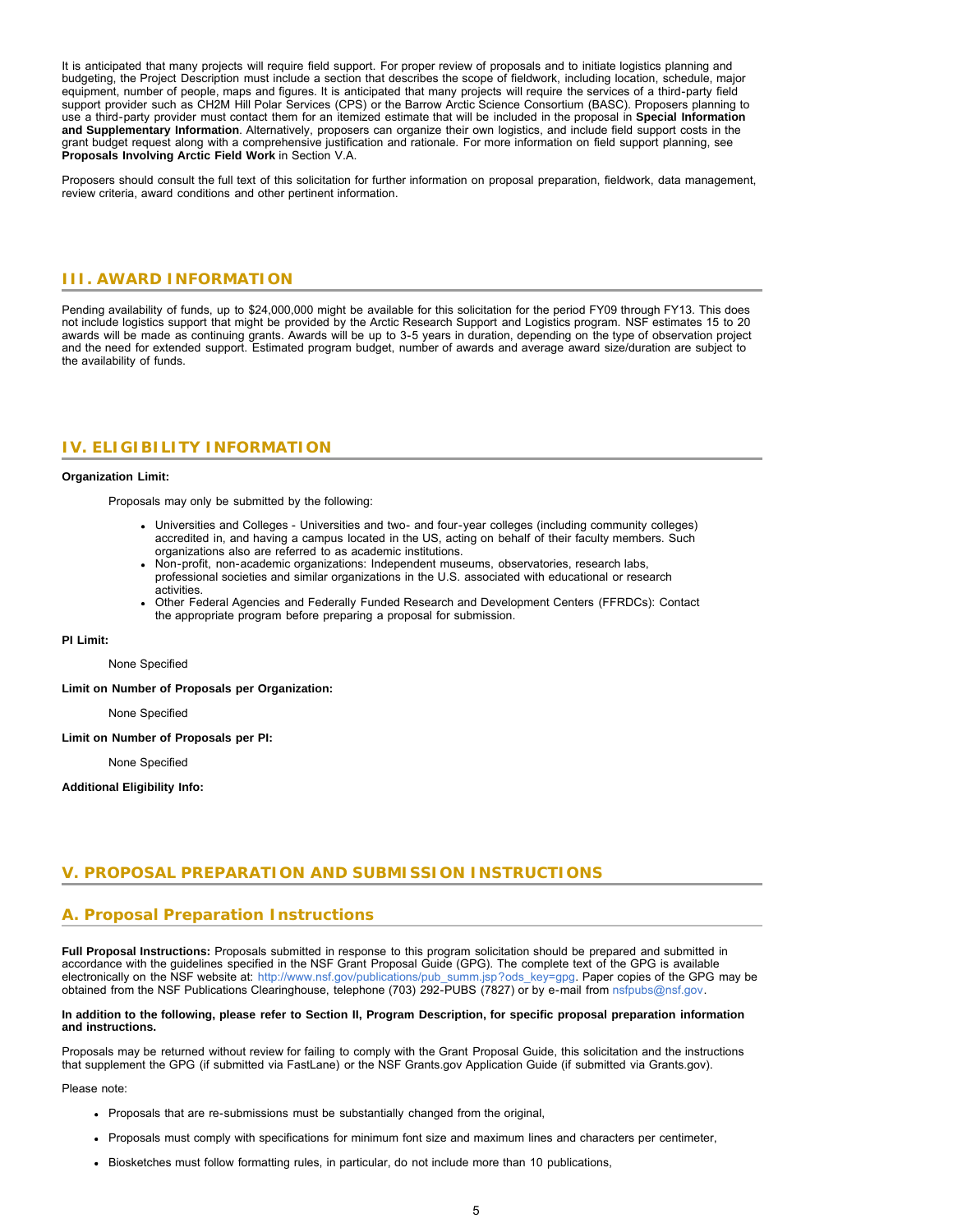It is anticipated that many projects will require field support. For proper review of proposals and to initiate logistics planning and budgeting, the Project Description must include a section that describes the scope of fieldwork, including location, schedule, major equipment, number of people, maps and figures. It is anticipated that many projects will require the services of a third-party field support provider such as CH2M Hill Polar Services (CPS) or the Barrow Arctic Science Consortium (BASC). Proposers planning to use a third-party provider must contact them for an itemized estimate that will be included in the proposal in **Special Information and Supplementary Information**. Alternatively, proposers can organize their own logistics, and include field support costs in the grant budget request along with a comprehensive justification and rationale. For more information on field support planning, see **Proposals Involving Arctic Field Work** in Section V.A.

<span id="page-4-0"></span>Proposers should consult the full text of this solicitation for further information on proposal preparation, fieldwork, data management, review criteria, award conditions and other pertinent information.

## **III. AWARD INFORMATION**

Pending availability of funds, up to \$24,000,000 might be available for this solicitation for the period FY09 through FY13. This does not include logistics support that might be provided by the Arctic Research Support and Logistics program. NSF estimates 15 to 20 awards will be made as continuing grants. Awards will be up to 3-5 years in duration, depending on the type of observation project and the need for extended support. Estimated program budget, number of awards and average award size/duration are subject to the availability of funds.

# <span id="page-4-1"></span>**IV. ELIGIBILITY INFORMATION**

### **Organization Limit:**

Proposals may only be submitted by the following:

- Universities and Colleges Universities and two- and four-year colleges (including community colleges) accredited in, and having a campus located in the US, acting on behalf of their faculty members. Such organizations also are referred to as academic institutions.
- Non-profit, non-academic organizations: Independent museums, observatories, research labs, professional societies and similar organizations in the U.S. associated with educational or research activities.
- Other Federal Agencies and Federally Funded Research and Development Centers (FFRDCs): Contact the appropriate program before preparing a proposal for submission.

#### **PI Limit:**

None Specified

**Limit on Number of Proposals per Organization:**

None Specified **Limit on Number of Proposals per PI:**

None Specified

<span id="page-4-2"></span>**Additional Eligibility Info:**

## **V. PROPOSAL PREPARATION AND SUBMISSION INSTRUCTIONS**

# **A. Proposal Preparation Instructions**

**Full Proposal Instructions:** Proposals submitted in response to this program solicitation should be prepared and submitted in accordance with the guidelines specified in the NSF Grant Proposal Guide (GPG). The complete text of the GPG is available electronically on the NSF website at: [http://www.nsf.gov/publications/pub\\_summ.jsp?ods\\_key=gpg.](http://www.nsf.gov/publications/pub_summ.jsp?ods_key=gpg) Paper copies of the GPG may be obtained from the NSF Publications Clearinghouse, telephone (703) 292-PUBS (7827) or by e-mail from [nsfpubs@nsf.gov.](mailto:nsfpubs@nsf.gov)

#### **In addition to the following, please refer to Section II, Program Description, for specific proposal preparation information and instructions.**

Proposals may be returned without review for failing to comply with the Grant Proposal Guide, this solicitation and the instructions that supplement the GPG (if submitted via FastLane) or the NSF Grants.gov Application Guide (if submitted via Grants.gov).

Please note:

- Proposals that are re-submissions must be substantially changed from the original,
- Proposals must comply with specifications for minimum font size and maximum lines and characters per centimeter,
- Biosketches must follow formatting rules, in particular, do not include more than 10 publications,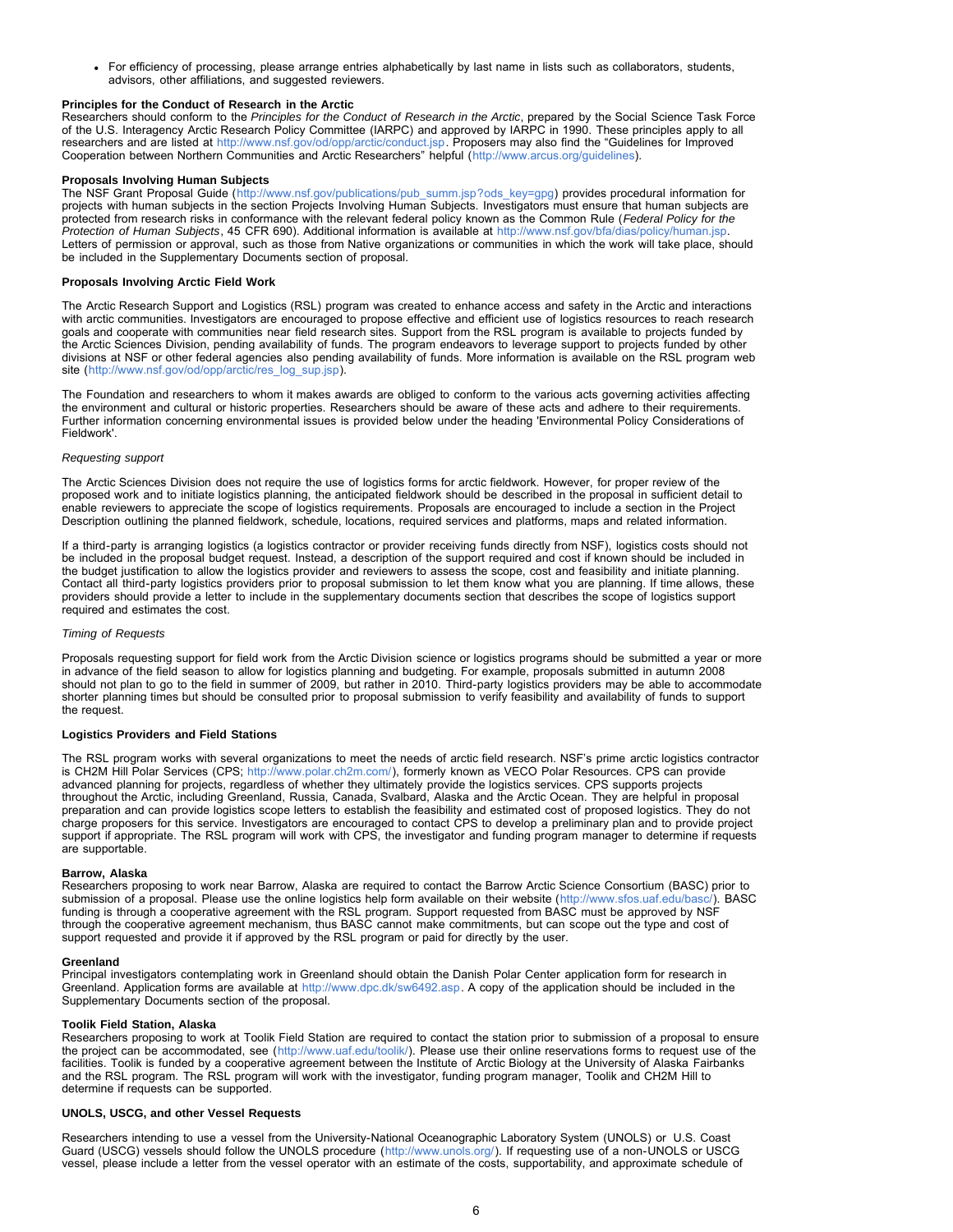For efficiency of processing, please arrange entries alphabetically by last name in lists such as collaborators, students, advisors, other affiliations, and suggested reviewers.

## **Principles for the Conduct of Research in the Arctic**

Researchers should conform to the *Principles for the Conduct of Research in the Arctic*, prepared by the Social Science Task Force of the U.S. Interagency Arctic Research Policy Committee (IARPC) and approved by IARPC in 1990. These principles apply to all researchers and are listed at [http://www.nsf.gov/od/opp/arctic/conduct.jsp.](http://www.nsf.gov/od/opp/arctic/conduct.jsp) Proposers may also find the "Guidelines for Improved Cooperation between Northern Communities and Arctic Researchers" helpful ([http://www.arcus.org/guidelines](http://www.nsf.gov/cgi-bin/good-bye?http://www.arcus.org/guidelines)).

## **Proposals Involving Human Subjects**

The NSF Grant Proposal Guide ([http://www.nsf.gov/publications/pub\\_summ.jsp?ods\\_key=gpg](http://www.nsf.gov/publications/pub_summ.jsp?ods_key=gpg)) provides procedural information for projects with human subjects in the section Projects Involving Human Subjects. Investigators must ensure that human subjects are protected from research risks in conformance with the relevant federal policy known as the Common Rule (*Federal Policy for the Protection of Human Subjects*, 45 CFR 690). Additional information is available at [http://www.nsf.gov/bfa/dias/policy/human.jsp.](http://www.nsf.gov/bfa/dias/policy/human.jsp) Letters of permission or approval, such as those from Native organizations or communities in which the work will take place, should be included in the Supplementary Documents section of proposal.

## **Proposals Involving Arctic Field Work**

The Arctic Research Support and Logistics (RSL) program was created to enhance access and safety in the Arctic and interactions with arctic communities. Investigators are encouraged to propose effective and efficient use of logistics resources to reach research goals and cooperate with communities near field research sites. Support from the RSL program is available to projects funded by the Arctic Sciences Division, pending availability of funds. The program endeavors to leverage support to projects funded by other divisions at NSF or other federal agencies also pending availability of funds. More information is available on the RSL program web site ([http://www.nsf.gov/od/opp/arctic/res\\_log\\_sup.jsp](http://www.nsf.gov/od/opp/arctic/res_log_sup.jsp)).

The Foundation and researchers to whom it makes awards are obliged to conform to the various acts governing activities affecting the environment and cultural or historic properties. Researchers should be aware of these acts and adhere to their requirements. Further information concerning environmental issues is provided below under the heading 'Environmental Policy Considerations of Fieldwork'.

#### *Requesting support*

The Arctic Sciences Division does not require the use of logistics forms for arctic fieldwork. However, for proper review of the proposed work and to initiate logistics planning, the anticipated fieldwork should be described in the proposal in sufficient detail to enable reviewers to appreciate the scope of logistics requirements. Proposals are encouraged to include a section in the Project Description outlining the planned fieldwork, schedule, locations, required services and platforms, maps and related information.

If a third-party is arranging logistics (a logistics contractor or provider receiving funds directly from NSF), logistics costs should not be included in the proposal budget request. Instead, a description of the support required and cost if known should be included in the budget justification to allow the logistics provider and reviewers to assess the scope, cost and feasibility and initiate planning. Contact all third-party logistics providers prior to proposal submission to let them know what you are planning. If time allows, these providers should provide a letter to include in the supplementary documents section that describes the scope of logistics support required and estimates the cost.

#### *Timing of Requests*

Proposals requesting support for field work from the Arctic Division science or logistics programs should be submitted a year or more in advance of the field season to allow for logistics planning and budgeting. For example, proposals submitted in autumn 2008 should not plan to go to the field in summer of 2009, but rather in 2010. Third-party logistics providers may be able to accommodate shorter planning times but should be consulted prior to proposal submission to verify feasibility and availability of funds to support the request.

## **Logistics Providers and Field Stations**

The RSL program works with several organizations to meet the needs of arctic field research. NSF's prime arctic logistics contractor is CH2M Hill Polar Services (CPS; [http://www.polar.ch2m.com/](http://www.nsf.gov/cgi-bin/good-bye?http://www.polar.ch2m.com/)), formerly known as VECO Polar Resources. CPS can provide advanced planning for projects, regardless of whether they ultimately provide the logistics services. CPS supports projects throughout the Arctic, including Greenland, Russia, Canada, Svalbard, Alaska and the Arctic Ocean. They are helpful in proposal preparation and can provide logistics scope letters to establish the feasibility and estimated cost of proposed logistics. They do not charge proposers for this service. Investigators are encouraged to contact CPS to develop a preliminary plan and to provide project support if appropriate. The RSL program will work with CPS, the investigator and funding program manager to determine if requests are supportable.

#### **Barrow, Alaska**

Researchers proposing to work near Barrow, Alaska are required to contact the Barrow Arctic Science Consortium (BASC) prior to submission of a proposal. Please use the online logistics help form available on their website ([http://www.sfos.uaf.edu/basc/](http://www.nsf.gov/cgi-bin/good-bye?http://www.sfos.uaf.edu/basc/)). BASC funding is through a cooperative agreement with the RSL program. Support requested from BASC must be approved by NSF through the cooperative agreement mechanism, thus BASC cannot make commitments, but can scope out the type and cost of support requested and provide it if approved by the RSL program or paid for directly by the user.

#### **Greenland**

Principal investigators contemplating work in Greenland should obtain the Danish Polar Center application form for research in Greenland. Application forms are available at [http://www.dpc.dk/sw6492.asp](http://www.nsf.gov/cgi-bin/good-bye?http://www.dpc.dk/sw6492.asp). A copy of the application should be included in the Supplementary Documents section of the proposal.

## **Toolik Field Station, Alaska**

Researchers proposing to work at Toolik Field Station are required to contact the station prior to submission of a proposal to ensure the project can be accommodated, see ([http://www.uaf.edu/toolik/\)](http://www.nsf.gov/cgi-bin/good-bye?http://www.uaf.edu/toolik/). Please use their online reservations forms to request use of the facilities. Toolik is funded by a cooperative agreement between the Institute of Arctic Biology at the University of Alaska Fairbanks and the RSL program. The RSL program will work with the investigator, funding program manager, Toolik and CH2M Hill to determine if requests can be supported.

### **UNOLS, USCG, and other Vessel Requests**

Researchers intending to use a vessel from the University-National Oceanographic Laboratory System (UNOLS) or U.S. Coast Guard (USCG) vessels should follow the UNOLS procedure ([http://www.unols.org/\)](http://www.nsf.gov/cgi-bin/good-bye?http://www.unols.org/). If requesting use of a non-UNOLS or USCG vessel, please include a letter from the vessel operator with an estimate of the costs, supportability, and approximate schedule of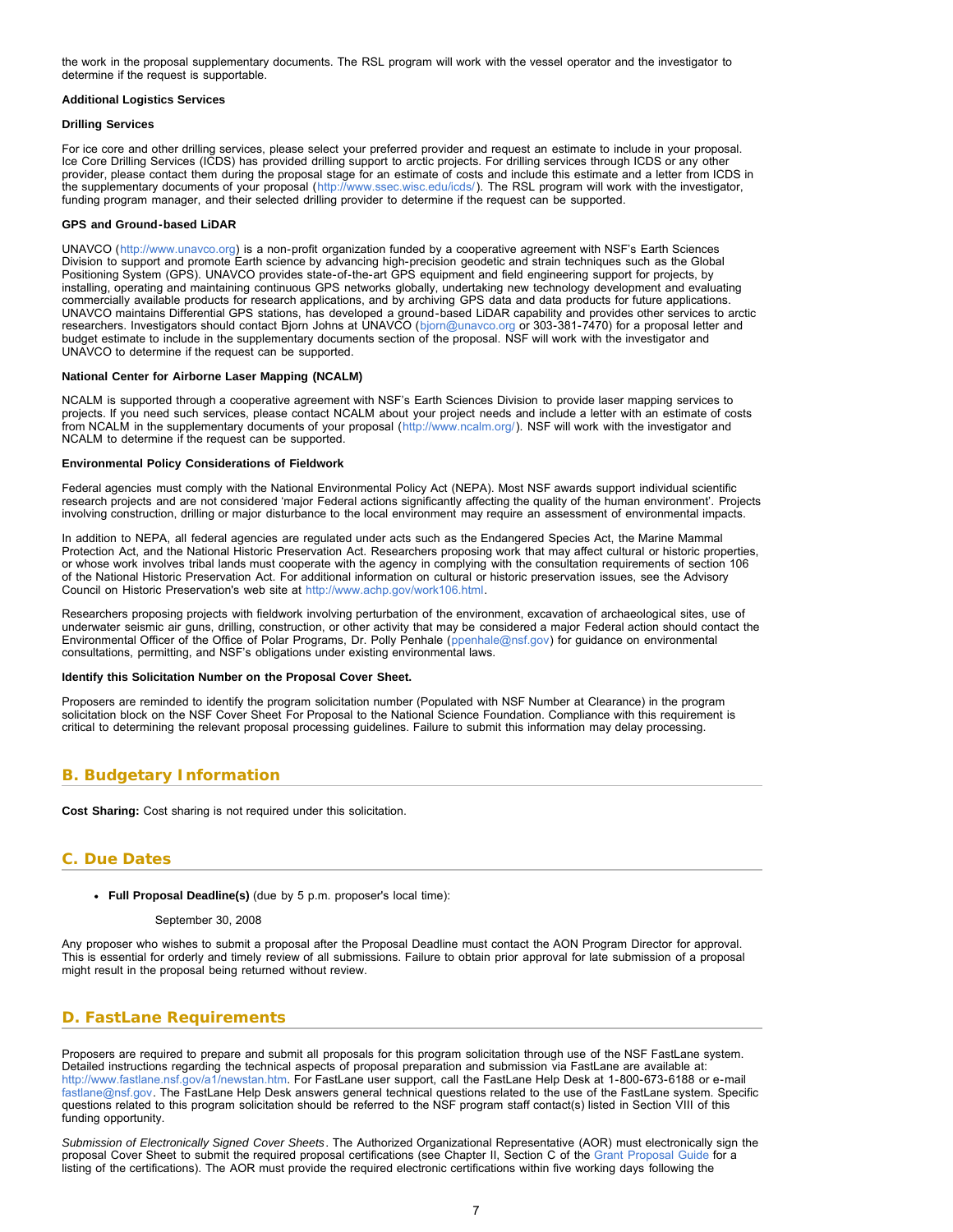the work in the proposal supplementary documents. The RSL program will work with the vessel operator and the investigator to determine if the request is supportable.

## **Additional Logistics Services**

### **Drilling Services**

For ice core and other drilling services, please select your preferred provider and request an estimate to include in your proposal. Ice Core Drilling Services (ICDS) has provided drilling support to arctic projects. For drilling services through ICDS or any other provider, please contact them during the proposal stage for an estimate of costs and include this estimate and a letter from ICDS in the supplementary documents of your proposal ([http://www.ssec.wisc.edu/icds/](http://www.nsf.gov/cgi-bin/good-bye?http://www.ssec.wisc.edu/icds/)). The RSL program will work with the investigator, funding program manager, and their selected drilling provider to determine if the request can be supported.

### **GPS and Ground-based LiDAR**

UNAVCO ([http://www.unavco.org](http://www.nsf.gov/cgi-bin/good-bye?http://www.unavco.org)) is a non-profit organization funded by a cooperative agreement with NSF's Earth Sciences Division to support and promote Earth science by advancing high-precision geodetic and strain techniques such as the Global Positioning System (GPS). UNAVCO provides state-of-the-art GPS equipment and field engineering support for projects, by installing, operating and maintaining continuous GPS networks globally, undertaking new technology development and evaluating commercially available products for research applications, and by archiving GPS data and data products for future applications. UNAVCO maintains Differential GPS stations, has developed a ground-based LiDAR capability and provides other services to arctic researchers. Investigators should contact Bjorn Johns at UNAVCO ([bjorn@unavco.org](mailto:bjorn@unavco.org) or 303-381-7470) for a proposal letter and budget estimate to include in the supplementary documents section of the proposal. NSF will work with the investigator and UNAVCO to determine if the request can be supported.

### **National Center for Airborne Laser Mapping (NCALM)**

NCALM is supported through a cooperative agreement with NSF's Earth Sciences Division to provide laser mapping services to projects. If you need such services, please contact NCALM about your project needs and include a letter with an estimate of costs from NCALM in the supplementary documents of your proposal ([http://www.ncalm.org/\)](http://www.nsf.gov/cgi-bin/good-bye?http://www.ncalm.org/). NSF will work with the investigator and NCALM to determine if the request can be supported.

### **Environmental Policy Considerations of Fieldwork**

Federal agencies must comply with the National Environmental Policy Act (NEPA). Most NSF awards support individual scientific research projects and are not considered 'major Federal actions significantly affecting the quality of the human environment'. Projects involving construction, drilling or major disturbance to the local environment may require an assessment of environmental impacts.

In addition to NEPA, all federal agencies are regulated under acts such as the Endangered Species Act, the Marine Mammal Protection Act, and the National Historic Preservation Act. Researchers proposing work that may affect cultural or historic properties, or whose work involves tribal lands must cooperate with the agency in complying with the consultation requirements of section 106 of the National Historic Preservation Act. For additional information on cultural or historic preservation issues, see the Advisory Council on Historic Preservation's web site at [http://www.achp.gov/work106.html.](http://www.achp.gov/work106.html)

Researchers proposing projects with fieldwork involving perturbation of the environment, excavation of archaeological sites, use of underwater seismic air guns, drilling, construction, or other activity that may be considered a major Federal action should contact the Environmental Officer of the Office of Polar Programs, Dr. Polly Penhale ([ppenhale@nsf.gov](mailto:ppenhale@nsf.gov)) for guidance on environmental consultations, permitting, and NSF's obligations under existing environmental laws.

#### **Identify this Solicitation Number on the Proposal Cover Sheet.**

Proposers are reminded to identify the program solicitation number (Populated with NSF Number at Clearance) in the program solicitation block on the NSF Cover Sheet For Proposal to the National Science Foundation. Compliance with this requirement is critical to determining the relevant proposal processing guidelines. Failure to submit this information may delay processing.

# <span id="page-6-0"></span>**B. Budgetary Information**

**Cost Sharing:** Cost sharing is not required under this solicitation.

# <span id="page-6-1"></span>**C. Due Dates**

**Full Proposal Deadline(s)** (due by 5 p.m. proposer's local time):

#### September 30, 2008

Any proposer who wishes to submit a proposal after the Proposal Deadline must contact the AON Program Director for approval. This is essential for orderly and timely review of all submissions. Failure to obtain prior approval for late submission of a proposal might result in the proposal being returned without review.

# <span id="page-6-2"></span>**D. FastLane Requirements**

Proposers are required to prepare and submit all proposals for this program solicitation through use of the NSF FastLane system. Detailed instructions regarding the technical aspects of proposal preparation and submission via FastLane are available at: [http://www.fastlane.nsf.gov/a1/newstan.htm.](http://www.fastlane.nsf.gov/a1/newstan.htm) For FastLane user support, call the FastLane Help Desk at 1-800-673-6188 or e-mail [fastlane@nsf.gov.](mailto:fastlane@nsf.gov) The FastLane Help Desk answers general technical questions related to the use of the FastLane system. Specific questions related to this program solicitation should be referred to the NSF program staff contact(s) listed in Section VIII of this funding opportunity.

*Submission of Electronically Signed Cover Sheets*. The Authorized Organizational Representative (AOR) must electronically sign the proposal Cover Sheet to submit the required proposal certifications (see Chapter II, Section C of the [Grant Proposal Guide](http://www.nsf.gov/publications/pub_summ.jsp?ods_key=gpg) for a listing of the certifications). The AOR must provide the required electronic certifications within five working days following the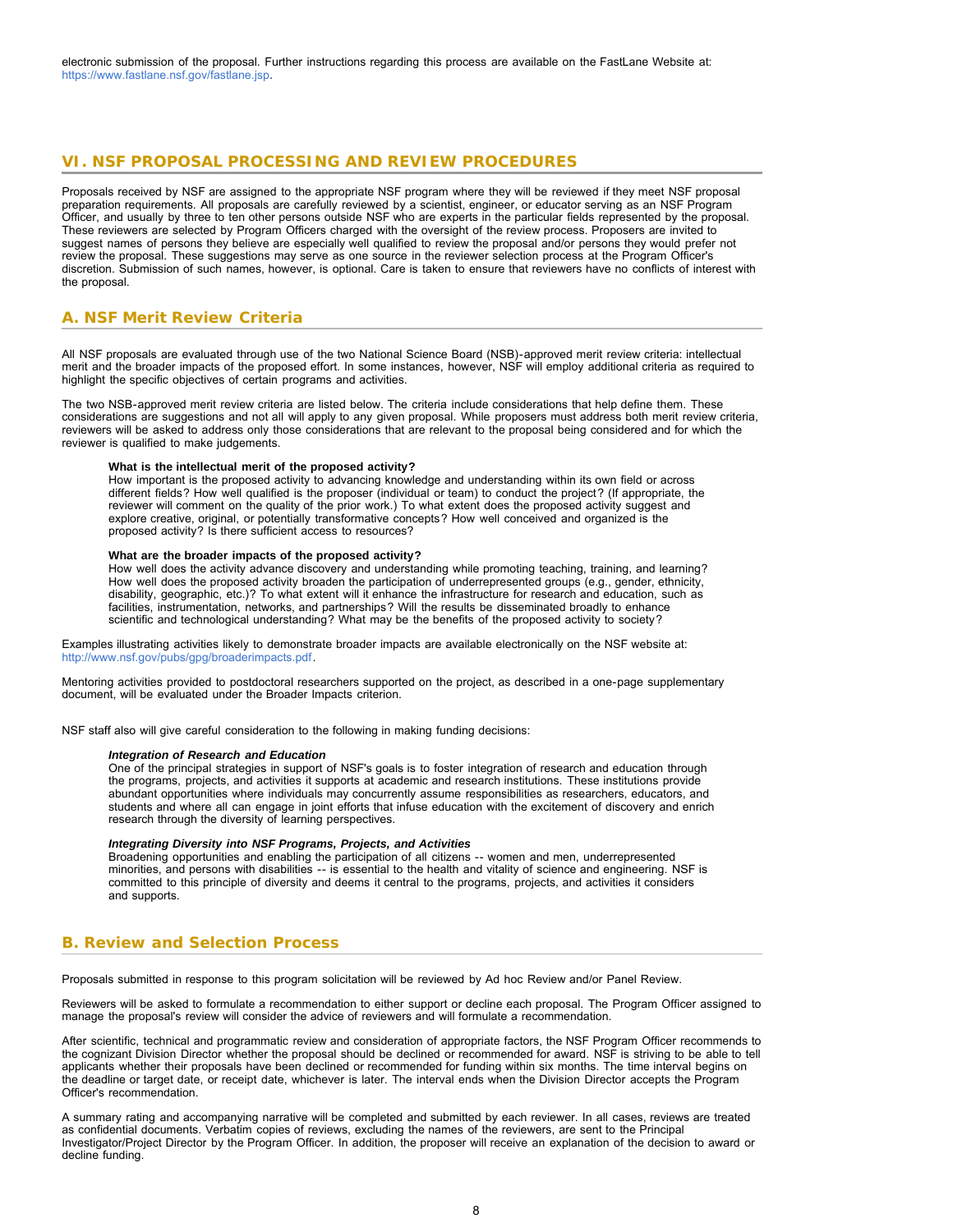<span id="page-7-0"></span>electronic submission of the proposal. Further instructions regarding this process are available on the FastLane Website at: [https://www.fastlane.nsf.gov/fastlane.jsp.](https://www.fastlane.nsf.gov/fastlane.jsp)

# **VI. NSF PROPOSAL PROCESSING AND REVIEW PROCEDURES**

<span id="page-7-1"></span>Proposals received by NSF are assigned to the appropriate NSF program where they will be reviewed if they meet NSF proposal preparation requirements. All proposals are carefully reviewed by a scientist, engineer, or educator serving as an NSF Program Officer, and usually by three to ten other persons outside NSF who are experts in the particular fields represented by the proposal. These reviewers are selected by Program Officers charged with the oversight of the review process. Proposers are invited to suggest names of persons they believe are especially well qualified to review the proposal and/or persons they would prefer not review the proposal. These suggestions may serve as one source in the reviewer selection process at the Program Officer's discretion. Submission of such names, however, is optional. Care is taken to ensure that reviewers have no conflicts of interest with the proposal.

# **A. NSF Merit Review Criteria**

All NSF proposals are evaluated through use of the two National Science Board (NSB)-approved merit review criteria: intellectual merit and the broader impacts of the proposed effort. In some instances, however, NSF will employ additional criteria as required to highlight the specific objectives of certain programs and activities.

The two NSB-approved merit review criteria are listed below. The criteria include considerations that help define them. These considerations are suggestions and not all will apply to any given proposal. While proposers must address both merit review criteria, reviewers will be asked to address only those considerations that are relevant to the proposal being considered and for which the reviewer is qualified to make judgements.

### **What is the intellectual merit of the proposed activity?**

How important is the proposed activity to advancing knowledge and understanding within its own field or across different fields? How well qualified is the proposer (individual or team) to conduct the project? (If appropriate, the reviewer will comment on the quality of the prior work.) To what extent does the proposed activity suggest and explore creative, original, or potentially transformative concepts? How well conceived and organized is the proposed activity? Is there sufficient access to resources?

## **What are the broader impacts of the proposed activity?**

How well does the activity advance discovery and understanding while promoting teaching, training, and learning? How well does the proposed activity broaden the participation of underrepresented groups (e.g., gender, ethnicity, disability, geographic, etc.)? To what extent will it enhance the infrastructure for research and education, such as facilities, instrumentation, networks, and partnerships? Will the results be disseminated broadly to enhance scientific and technological understanding? What may be the benefits of the proposed activity to society?

Examples illustrating activities likely to demonstrate broader impacts are available electronically on the NSF website at: <http://www.nsf.gov/pubs/gpg/broaderimpacts.pdf>.

Mentoring activities provided to postdoctoral researchers supported on the project, as described in a one-page supplementary document, will be evaluated under the Broader Impacts criterion.

NSF staff also will give careful consideration to the following in making funding decisions:

#### *Integration of Research and Education*

One of the principal strategies in support of NSF's goals is to foster integration of research and education through the programs, projects, and activities it supports at academic and research institutions. These institutions provide abundant opportunities where individuals may concurrently assume responsibilities as researchers, educators, and students and where all can engage in joint efforts that infuse education with the excitement of discovery and enrich research through the diversity of learning perspectives.

### *Integrating Diversity into NSF Programs, Projects, and Activities*

Broadening opportunities and enabling the participation of all citizens -- women and men, underrepresented minorities, and persons with disabilities -- is essential to the health and vitality of science and engineering. NSF is committed to this principle of diversity and deems it central to the programs, projects, and activities it considers and supports.

## <span id="page-7-2"></span>**B. Review and Selection Process**

Proposals submitted in response to this program solicitation will be reviewed by Ad hoc Review and/or Panel Review.

Reviewers will be asked to formulate a recommendation to either support or decline each proposal. The Program Officer assigned to manage the proposal's review will consider the advice of reviewers and will formulate a recommendation.

After scientific, technical and programmatic review and consideration of appropriate factors, the NSF Program Officer recommends to the cognizant Division Director whether the proposal should be declined or recommended for award. NSF is striving to be able to tell applicants whether their proposals have been declined or recommended for funding within six months. The time interval begins on the deadline or target date, or receipt date, whichever is later. The interval ends when the Division Director accepts the Program Officer's recommendation.

A summary rating and accompanying narrative will be completed and submitted by each reviewer. In all cases, reviews are treated as confidential documents. Verbatim copies of reviews, excluding the names of the reviewers, are sent to the Principal Investigator/Project Director by the Program Officer. In addition, the proposer will receive an explanation of the decision to award or decline funding.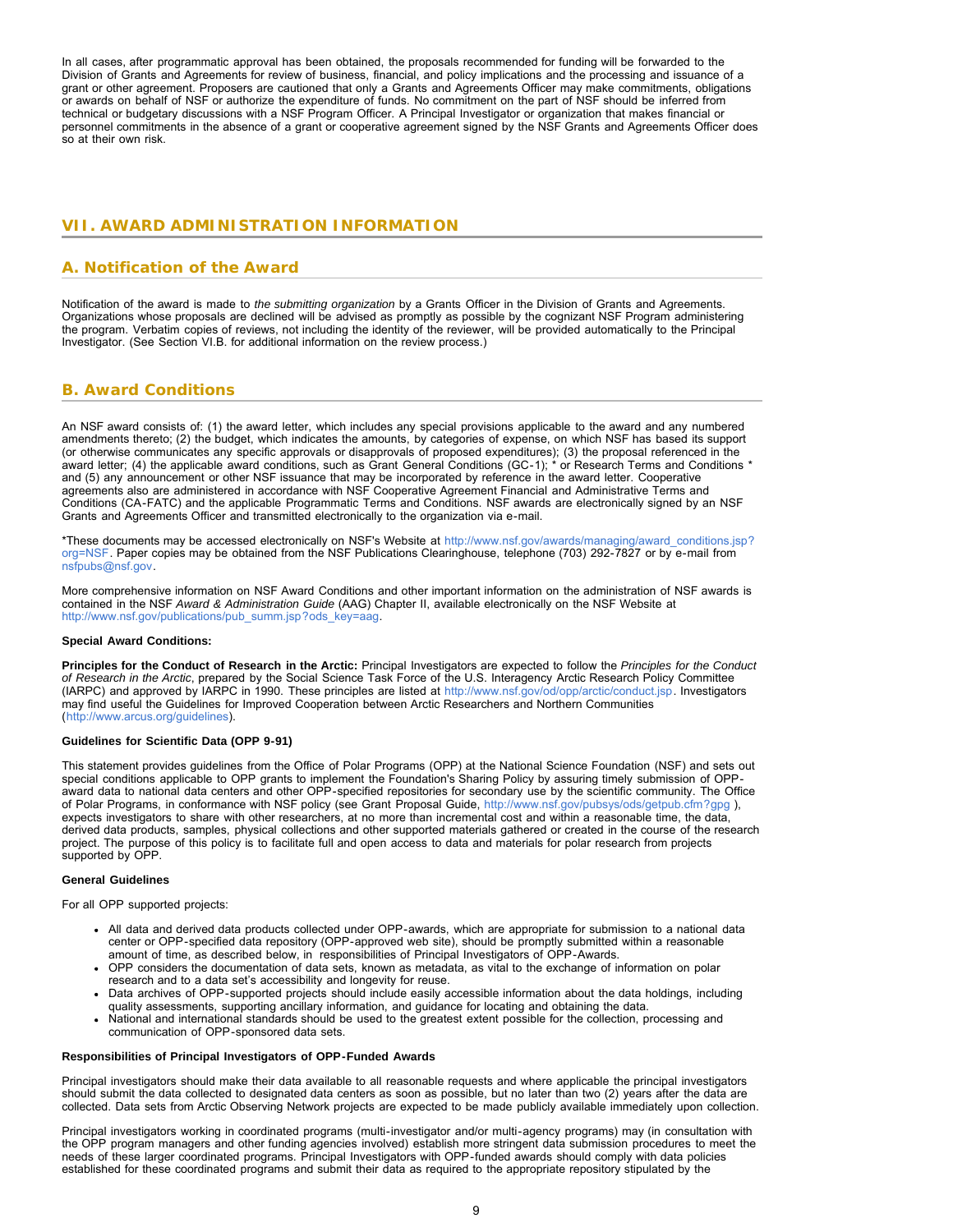In all cases, after programmatic approval has been obtained, the proposals recommended for funding will be forwarded to the Division of Grants and Agreements for review of business, financial, and policy implications and the processing and issuance of a grant or other agreement. Proposers are cautioned that only a Grants and Agreements Officer may make commitments, obligations or awards on behalf of NSF or authorize the expenditure of funds. No commitment on the part of NSF should be inferred from technical or budgetary discussions with a NSF Program Officer. A Principal Investigator or organization that makes financial or personnel commitments in the absence of a grant or cooperative agreement signed by the NSF Grants and Agreements Officer does so at their own risk.

# <span id="page-8-0"></span>**VII. AWARD ADMINISTRATION INFORMATION**

# <span id="page-8-1"></span>**A. Notification of the Award**

Notification of the award is made to *the submitting organization* by a Grants Officer in the Division of Grants and Agreements. Organizations whose proposals are declined will be advised as promptly as possible by the cognizant NSF Program administering the program. Verbatim copies of reviews, not including the identity of the reviewer, will be provided automatically to the Principal Investigator. (See Section VI.B. for additional information on the review process.)

# <span id="page-8-2"></span>**B. Award Conditions**

An NSF award consists of: (1) the award letter, which includes any special provisions applicable to the award and any numbered amendments thereto; (2) the budget, which indicates the amounts, by categories of expense, on which NSF has based its support (or otherwise communicates any specific approvals or disapprovals of proposed expenditures); (3) the proposal referenced in the award letter; (4) the applicable award conditions, such as Grant General Conditions (GC-1); \* or Research Terms and Conditions \* and (5) any announcement or other NSF issuance that may be incorporated by reference in the award letter. Cooperative agreements also are administered in accordance with NSF Cooperative Agreement Financial and Administrative Terms and Conditions (CA-FATC) and the applicable Programmatic Terms and Conditions. NSF awards are electronically signed by an NSF Grants and Agreements Officer and transmitted electronically to the organization via e-mail.

\*These documents may be accessed electronically on NSF's Website at [http://www.nsf.gov/awards/managing/award\\_conditions.jsp?](http://www.nsf.gov/awards/managing/award_conditions.jsp?org=NSF) [org=NSF.](http://www.nsf.gov/awards/managing/award_conditions.jsp?org=NSF) Paper copies may be obtained from the NSF Publications Clearinghouse, telephone (703) 292-7827 or by e-mail from [nsfpubs@nsf.gov.](mailto:nsfpubs@nsf.gov)

More comprehensive information on NSF Award Conditions and other important information on the administration of NSF awards is contained in the NSF *Award & Administration Guide* (AAG) Chapter II, available electronically on the NSF Website at [http://www.nsf.gov/publications/pub\\_summ.jsp?ods\\_key=aag.](http://www.nsf.gov/publications/pub_summ.jsp?ods_key=aag)

### **Special Award Conditions:**

**Principles for the Conduct of Research in the Arctic:** Principal Investigators are expected to follow the *Principles for the Conduct of Research in the Arctic*, prepared by the Social Science Task Force of the U.S. Interagency Arctic Research Policy Committee (IARPC) and approved by IARPC in 1990. These principles are listed at [http://www.nsf.gov/od/opp/arctic/conduct.jsp.](http://www.nsf.gov/od/opp/arctic/conduct.jsp) Investigators may find useful the Guidelines for Improved Cooperation between Arctic Researchers and Northern Communities ([http://www.arcus.org/guidelines](http://www.nsf.gov/cgi-bin/good-bye?http://www.arcus.org/guidelines)).

### **Guidelines for Scientific Data (OPP 9-91)**

This statement provides guidelines from the Office of Polar Programs (OPP) at the National Science Foundation (NSF) and sets out special conditions applicable to OPP grants to implement the Foundation's Sharing Policy by assuring timely submission of OPPaward data to national data centers and other OPP-specified repositories for secondary use by the scientific community. The Office of Polar Programs, in conformance with NSF policy (see Grant Proposal Guide,<http://www.nsf.gov/pubsys/ods/getpub.cfm?gpg> ), expects investigators to share with other researchers, at no more than incremental cost and within a reasonable time, the data, derived data products, samples, physical collections and other supported materials gathered or created in the course of the research project. The purpose of this policy is to facilitate full and open access to data and materials for polar research from projects supported by OPP.

#### **General Guidelines**

For all OPP supported projects:

- All data and derived data products collected under OPP-awards, which are appropriate for submission to a national data center or OPP-specified data repository (OPP-approved web site), should be promptly submitted within a reasonable amount of time, as described below, in responsibilities of Principal Investigators of OPP-Awards.
- OPP considers the documentation of data sets, known as metadata, as vital to the exchange of information on polar research and to a data set's accessibility and longevity for reuse.
- Data archives of OPP-supported projects should include easily accessible information about the data holdings, including quality assessments, supporting ancillary information, and guidance for locating and obtaining the data.
- National and international standards should be used to the greatest extent possible for the collection, processing and communication of OPP-sponsored data sets.

#### **Responsibilities of Principal Investigators of OPP-Funded Awards**

Principal investigators should make their data available to all reasonable requests and where applicable the principal investigators should submit the data collected to designated data centers as soon as possible, but no later than two (2) years after the data are collected. Data sets from Arctic Observing Network projects are expected to be made publicly available immediately upon collection.

Principal investigators working in coordinated programs (multi-investigator and/or multi-agency programs) may (in consultation with the OPP program managers and other funding agencies involved) establish more stringent data submission procedures to meet the needs of these larger coordinated programs. Principal Investigators with OPP-funded awards should comply with data policies established for these coordinated programs and submit their data as required to the appropriate repository stipulated by the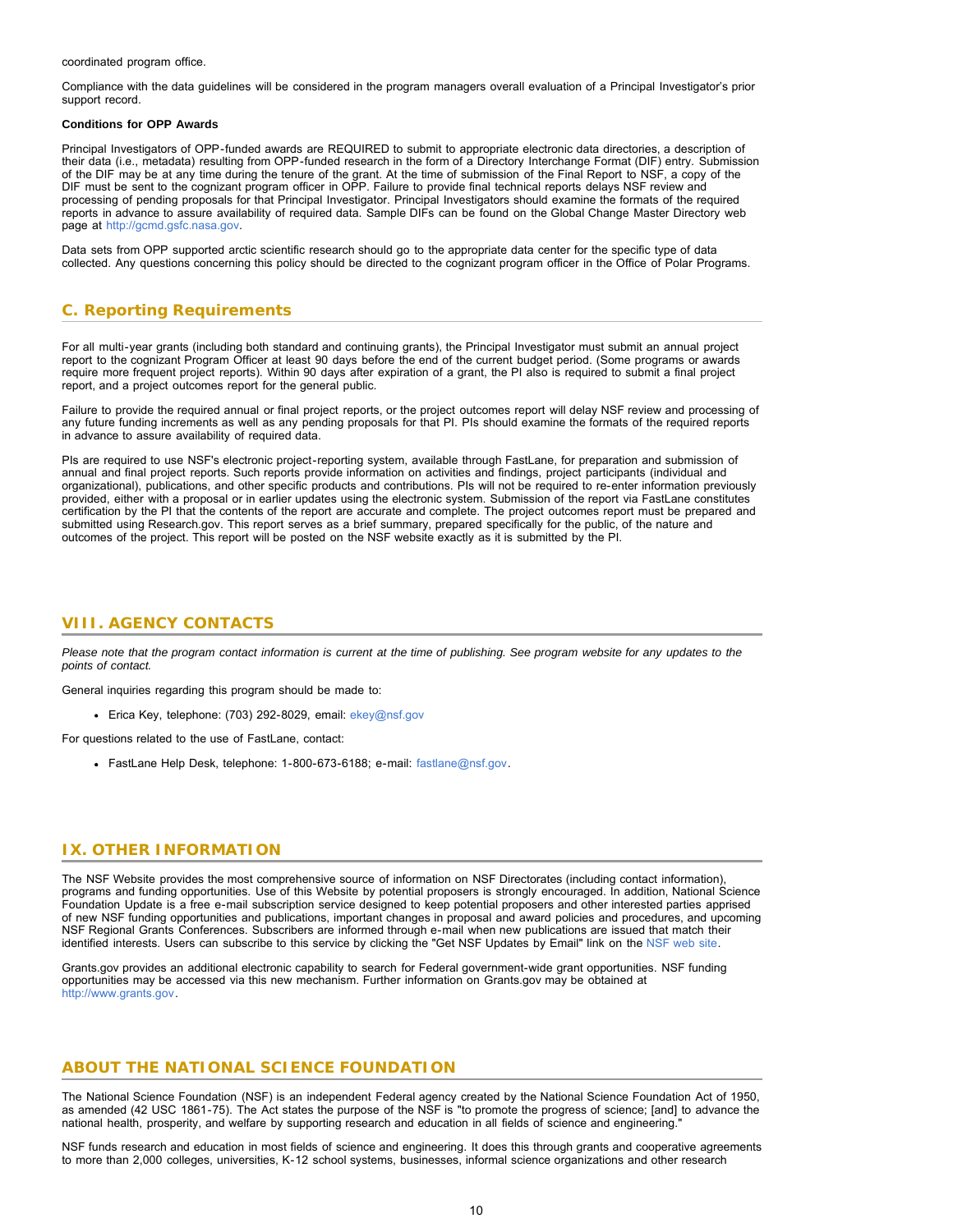coordinated program office.

Compliance with the data guidelines will be considered in the program managers overall evaluation of a Principal Investigator's prior support record.

## **Conditions for OPP Awards**

Principal Investigators of OPP-funded awards are REQUIRED to submit to appropriate electronic data directories, a description of their data (i.e., metadata) resulting from OPP-funded research in the form of a Directory Interchange Format (DIF) entry. Submission of the DIF may be at any time during the tenure of the grant. At the time of submission of the Final Report to NSF, a copy of the DIF must be sent to the cognizant program officer in OPP. Failure to provide final technical reports delays NSF review and processing of pending proposals for that Principal Investigator. Principal Investigators should examine the formats of the required reports in advance to assure availability of required data. Sample DIFs can be found on the Global Change Master Directory web page at [http://gcmd.gsfc.nasa.gov.](http://gcmd.gsfc.nasa.gov/)

Data sets from OPP supported arctic scientific research should go to the appropriate data center for the specific type of data collected. Any questions concerning this policy should be directed to the cognizant program officer in the Office of Polar Programs.

# <span id="page-9-0"></span>**C. Reporting Requirements**

For all multi-year grants (including both standard and continuing grants), the Principal Investigator must submit an annual project report to the cognizant Program Officer at least 90 days before the end of the current budget period. (Some programs or awards require more frequent project reports). Within 90 days after expiration of a grant, the PI also is required to submit a final project report, and a project outcomes report for the general public.

Failure to provide the required annual or final project reports, or the project outcomes report will delay NSF review and processing of any future funding increments as well as any pending proposals for that PI. PIs should examine the formats of the required reports in advance to assure availability of required data.

PIs are required to use NSF's electronic project-reporting system, available through FastLane, for preparation and submission of annual and final project reports. Such reports provide information on activities and findings, project participants (individual and organizational), publications, and other specific products and contributions. PIs will not be required to re-enter information previously provided, either with a proposal or in earlier updates using the electronic system. Submission of the report via FastLane constitutes certification by the PI that the contents of the report are accurate and complete. The project outcomes report must be prepared and submitted using Research.gov. This report serves as a brief summary, prepared specifically for the public, of the nature and outcomes of the project. This report will be posted on the NSF website exactly as it is submitted by the PI.

# <span id="page-9-1"></span>**VIII. AGENCY CONTACTS**

*Please note that the program contact information is current at the time of publishing. See program website for any updates to the points of contact.*

General inquiries regarding this program should be made to:

Erica Key, telephone: (703) 292-8029, email: [ekey@nsf.gov](mailto:ekey@nsf.gov)

<span id="page-9-2"></span>For questions related to the use of FastLane, contact:

FastLane Help Desk, telephone: 1-800-673-6188; e-mail: [fastlane@nsf.gov.](mailto:fastlane@nsf.gov)

# **IX. OTHER INFORMATION**

The NSF Website provides the most comprehensive source of information on NSF Directorates (including contact information), programs and funding opportunities. Use of this Website by potential proposers is strongly encouraged. In addition, National Science Foundation Update is a free e-mail subscription service designed to keep potential proposers and other interested parties apprised of new NSF funding opportunities and publications, important changes in proposal and award policies and procedures, and upcoming NSF Regional Grants Conferences. Subscribers are informed through e-mail when new publications are issued that match their identified interests. Users can subscribe to this service by clicking the "Get NSF Updates by Email" link on the [NSF web site.](http://www.nsf.gov/)

Grants.gov provides an additional electronic capability to search for Federal government-wide grant opportunities. NSF funding opportunities may be accessed via this new mechanism. Further information on Grants.gov may be obtained at [http://www.grants.gov.](http://www.grants.gov/)

# **ABOUT THE NATIONAL SCIENCE FOUNDATION**

The National Science Foundation (NSF) is an independent Federal agency created by the National Science Foundation Act of 1950, as amended (42 USC 1861-75). The Act states the purpose of the NSF is "to promote the progress of science; [and] to advance the national health, prosperity, and welfare by supporting research and education in all fields of science and engineering."

NSF funds research and education in most fields of science and engineering. It does this through grants and cooperative agreements to more than 2,000 colleges, universities, K-12 school systems, businesses, informal science organizations and other research